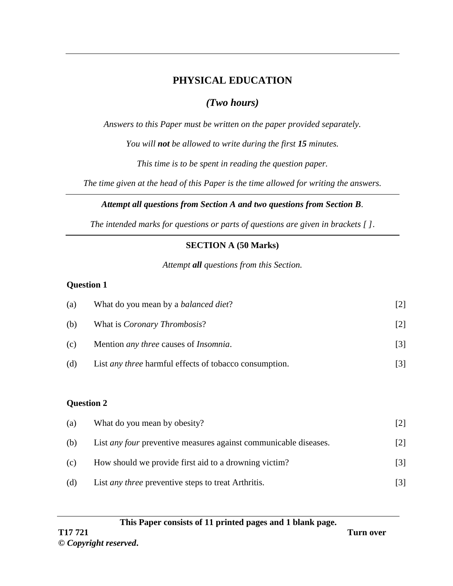# **PHYSICAL EDUCATION**

# *(Two hours)*

*Answers to this Paper must be written on the paper provided separately.*

*You will not be allowed to write during the first 15 minutes.*

*This time is to be spent in reading the question paper.*

*The time given at the head of this Paper is the time allowed for writing the answers.*

## *Attempt all questions from Section A and two questions from Section B.*

*The intended marks for questions or parts of questions are given in brackets [ ]*.

# **SECTION A (50 Marks)**

*Attempt all questions from this Section.*

## **Question 1**

| (a) | What do you mean by a <i>balanced diet</i> ?                  |                   |
|-----|---------------------------------------------------------------|-------------------|
| (b) | What is <i>Coronary Thrombosis?</i>                           |                   |
| (c) | Mention <i>any three</i> causes of <i>Insomnia</i> .          | $\lceil 3 \rceil$ |
| (d) | List <i>any three</i> harmful effects of tobacco consumption. | 131               |

## **Question 2**

| (a) | What do you mean by obesity?                                            |                   |
|-----|-------------------------------------------------------------------------|-------------------|
| (b) | List <i>any four</i> preventive measures against communicable diseases. | $\lceil 2 \rceil$ |
| (c) | How should we provide first aid to a drowning victim?                   | $\lceil 3 \rceil$ |
| (d) | List <i>any three</i> preventive steps to treat Arthritis.              | $\lceil 3 \rceil$ |

### **This Paper consists of 11 printed pages and 1 blank page.**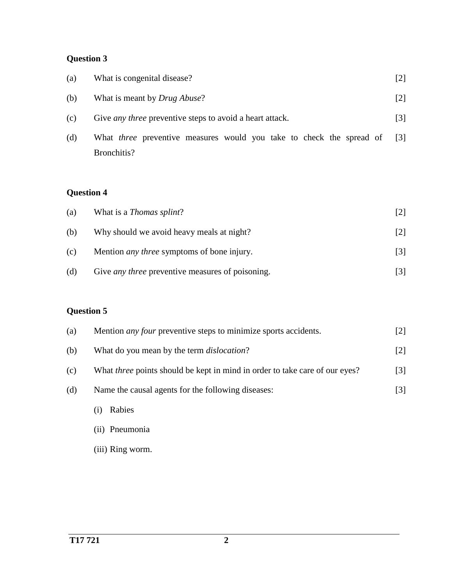# **Question 3**

| (a) | What is congenital disease?                                                                | $[2]$             |
|-----|--------------------------------------------------------------------------------------------|-------------------|
| (b) | What is meant by <i>Drug Abuse</i> ?                                                       | $\lceil 2 \rceil$ |
| (c) | Give <i>any three</i> preventive steps to avoid a heart attack.                            | $\lceil 3 \rceil$ |
| (d) | What <i>three</i> preventive measures would you take to check the spread of<br>Bronchitis? | -131              |

# **Question 4**

| (a) | What is a <i>Thomas splint</i> ?                        |                   |
|-----|---------------------------------------------------------|-------------------|
| (b) | Why should we avoid heavy meals at night?               | $\lceil 2 \rceil$ |
| (c) | Mention <i>any three</i> symptoms of bone injury.       |                   |
| (d) | Give <i>any three</i> preventive measures of poisoning. |                   |

| (a) | Mention <i>any four</i> preventive steps to minimize sports accidents.             | $[2]$             |
|-----|------------------------------------------------------------------------------------|-------------------|
| (b) | What do you mean by the term <i>dislocation</i> ?                                  | $[2]$             |
| (c) | What <i>three</i> points should be kept in mind in order to take care of our eyes? | $\lceil 3 \rceil$ |
| (d) | Name the causal agents for the following diseases:                                 | $\lceil 3 \rceil$ |
|     | Rabies<br>(1)                                                                      |                   |
|     | (ii) Pneumonia                                                                     |                   |
|     | (iii) Ring worm.                                                                   |                   |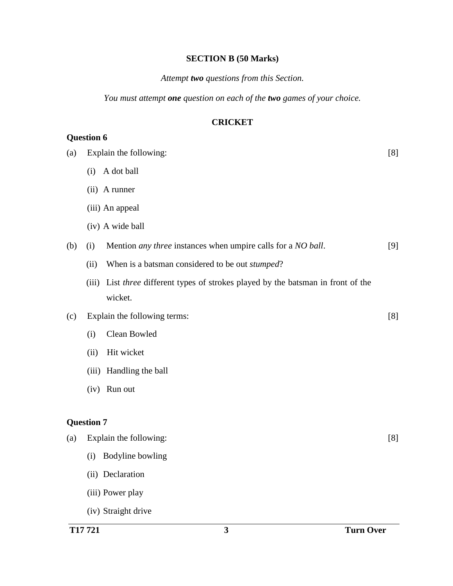#### **SECTION B (50 Marks)**

### *Attempt two questions from this Section.*

*You must attempt one question on each of the two games of your choice.*

### **CRICKET**

# (a) Explain the following: (i) A dot ball (ii) A runner (iii) An appeal (iv) A wide ball [8] (b) (i) Mention *any three* instances when umpire calls for a *NO ball*. (ii) When is a batsman considered to be out *stumped*? (iii) List *three* different types of strokes played by the batsman in front of the wicket. [9] (c) Explain the following terms: (i) Clean Bowled (ii) Hit wicket (iii) Handling the ball (iv) Run out [8] **Question 7** (a) Explain the following: (i) Bodyline bowling (ii) Declaration (iii) Power play [8]

(iv) Straight drive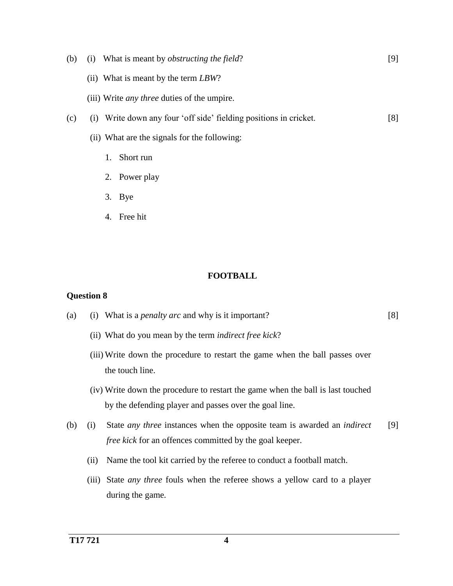- (b) (i) What is meant by *obstructing the field*? (ii) What is meant by the term *LBW*? (iii) Write *any three* duties of the umpire. [9] (c) (i) Write down any four 'off side' fielding positions in cricket. (ii) What are the signals for the following: 1. Short run 2. Power play [8]
	- 3. Bye
	- 4. Free hit

### **FOOTBALL**

- (a) (i) What is a *penalty arc* and why is it important? [8]
	- (ii) What do you mean by the term *indirect free kick*?
	- (iii) Write down the procedure to restart the game when the ball passes over the touch line.
	- (iv) Write down the procedure to restart the game when the ball is last touched by the defending player and passes over the goal line.
- (b) (i) State *any three* instances when the opposite team is awarded an *indirect free kick* for an offences committed by the goal keeper. [9]
	- (ii) Name the tool kit carried by the referee to conduct a football match.
	- (iii) State *any three* fouls when the referee shows a yellow card to a player during the game*.*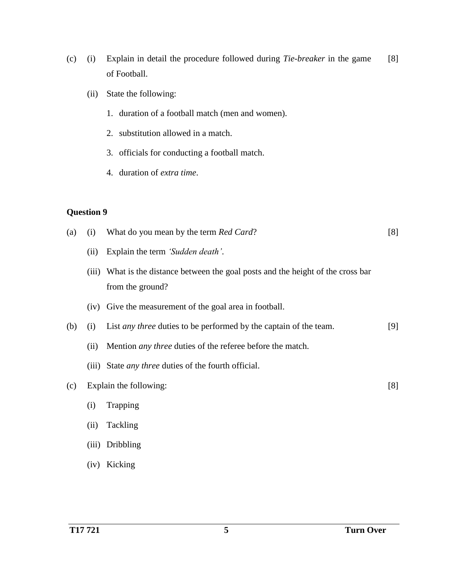- (c) (i) Explain in detail the procedure followed during *Tie-breaker* in the game of Football. [8]
	- (ii) State the following:
		- 1. duration of a football match (men and women).
		- 2. substitution allowed in a match.
		- 3. officials for conducting a football match.
		- 4. duration of *extra time*.

## **Question 9**

| (a) | (i)   | What do you mean by the term <i>Red Card</i> ?                                                  | [8] |
|-----|-------|-------------------------------------------------------------------------------------------------|-----|
|     | (ii)  | Explain the term 'Sudden death'.                                                                |     |
|     | (iii) | What is the distance between the goal posts and the height of the cross bar<br>from the ground? |     |
|     | (iv)  | Give the measurement of the goal area in football.                                              |     |
| (b) | (i)   | List <i>any three</i> duties to be performed by the captain of the team.                        | [9] |
|     | (ii)  | Mention <i>any three</i> duties of the referee before the match.                                |     |
|     | (iii) | State <i>any three</i> duties of the fourth official.                                           |     |
| (c) |       | Explain the following:                                                                          | [8] |
|     | (i)   | Trapping                                                                                        |     |
|     | (ii)  | Tackling                                                                                        |     |
|     | (iii) | Dribbling                                                                                       |     |
|     |       |                                                                                                 |     |

(iv) Kicking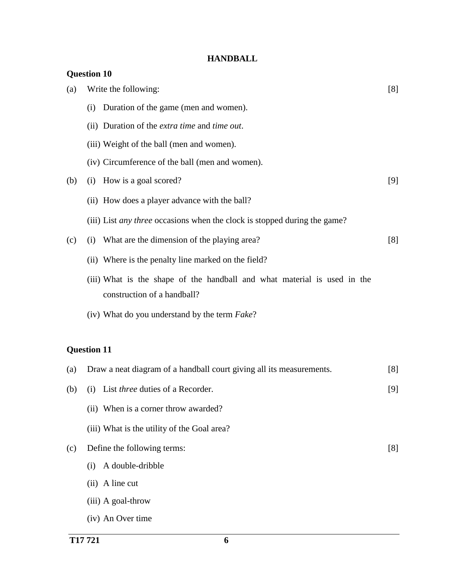## **HANDBALL**

|     | <b>Question 10</b>                                                                                      |     |
|-----|---------------------------------------------------------------------------------------------------------|-----|
| (a) | Write the following:                                                                                    | [8] |
|     | Duration of the game (men and women).<br>(i)                                                            |     |
|     | (ii) Duration of the <i>extra time</i> and <i>time out</i> .                                            |     |
|     | (iii) Weight of the ball (men and women).                                                               |     |
|     | (iv) Circumference of the ball (men and women).                                                         |     |
| (b) | How is a goal scored?<br>(i)                                                                            | [9] |
|     | (ii) How does a player advance with the ball?                                                           |     |
|     | (iii) List <i>any three</i> occasions when the clock is stopped during the game?                        |     |
| (c) | What are the dimension of the playing area?<br>(i)                                                      | [8] |
|     | (ii) Where is the penalty line marked on the field?                                                     |     |
|     | (iii) What is the shape of the handball and what material is used in the<br>construction of a handball? |     |
|     | (iv) What do you understand by the term <i>Fake</i> ?                                                   |     |
|     | <b>Question 11</b>                                                                                      |     |
| (a) | Draw a neat diagram of a handball court giving all its measurements.                                    | [8] |
| (b) | List three duties of a Recorder.<br>(i)                                                                 | [9] |
|     | (ii) When is a corner throw awarded?                                                                    |     |
|     | (iii) What is the utility of the Goal area?                                                             |     |
| (c) | Define the following terms:                                                                             | [8] |
|     | A double-dribble<br>(i)                                                                                 |     |
|     | A line cut<br>(ii)                                                                                      |     |
|     | (iii) A goal-throw                                                                                      |     |
|     | (iv) An Over time                                                                                       |     |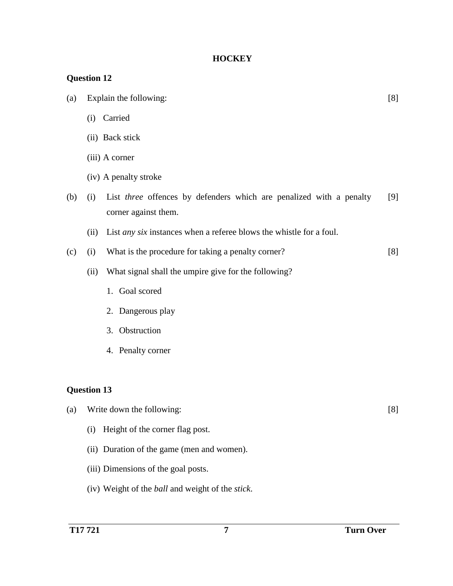## **HOCKEY**

| (a)                |      | Explain the following:                                                                      | [8] |
|--------------------|------|---------------------------------------------------------------------------------------------|-----|
|                    |      | (i) Carried                                                                                 |     |
|                    |      | (ii) Back stick                                                                             |     |
|                    |      | (iii) A corner                                                                              |     |
|                    |      | (iv) A penalty stroke                                                                       |     |
| (b)                | (i)  | List three offences by defenders which are penalized with a penalty<br>corner against them. | [9] |
|                    | (ii) | List <i>any six</i> instances when a referee blows the whistle for a foul.                  |     |
| (c)                | (i)  | What is the procedure for taking a penalty corner?                                          | [8] |
|                    | (ii) | What signal shall the umpire give for the following?                                        |     |
|                    |      | 1. Goal scored                                                                              |     |
|                    |      | 2. Dangerous play                                                                           |     |
|                    |      | 3. Obstruction                                                                              |     |
|                    |      | 4. Penalty corner                                                                           |     |
|                    |      |                                                                                             |     |
| <b>Question 13</b> |      |                                                                                             |     |
| (a)                |      | Write down the following:                                                                   | [8] |
|                    | (i)  | Height of the corner flag post.                                                             |     |
|                    |      | (ii) Duration of the game (men and women).                                                  |     |

- (iii) Dimensions of the goal posts.
- (iv) Weight of the *ball* and weight of the *stick*.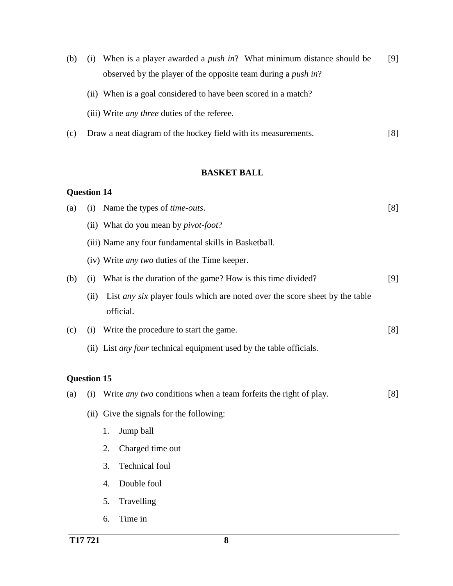- (b) (i) When is a player awarded a *push in*? What minimum distance should be observed by the player of the opposite team during a *push in*? [9]
	- (ii) When is a goal considered to have been scored in a match?
	- (iii) Write *any three* duties of the referee.
- (c) Draw a neat diagram of the hockey field with its measurements. [8]

### **BASKET BALL**

| <b>Ouestion 14</b> |      |                                                                                          |     |
|--------------------|------|------------------------------------------------------------------------------------------|-----|
| (a)                | (i)  | Name the types of <i>time-outs</i> .                                                     | [8] |
|                    |      | (ii) What do you mean by <i>pivot-foot</i> ?                                             |     |
|                    |      | (iii) Name any four fundamental skills in Basketball.                                    |     |
|                    |      | (iv) Write <i>any two</i> duties of the Time keeper.                                     |     |
| (b)                | (i)  | What is the duration of the game? How is this time divided?                              | [9] |
|                    | (ii) | List any six player fouls which are noted over the score sheet by the table<br>official. |     |
| (c)                | (i)  | Write the procedure to start the game.                                                   | [8] |
|                    |      | (ii) List <i>any four</i> technical equipment used by the table officials.               |     |
| <b>Question 15</b> |      |                                                                                          |     |
| (a)                | (i)  | Write <i>any two</i> conditions when a team forfeits the right of play.                  | [8] |
|                    |      | (ii) Give the signals for the following:                                                 |     |
|                    |      | Jump ball<br>1.                                                                          |     |
|                    |      | 2.<br>Charged time out                                                                   |     |
|                    |      | Technical foul<br>3.                                                                     |     |
|                    |      | Double foul<br>4.                                                                        |     |

- 5. Travelling
- 6. Time in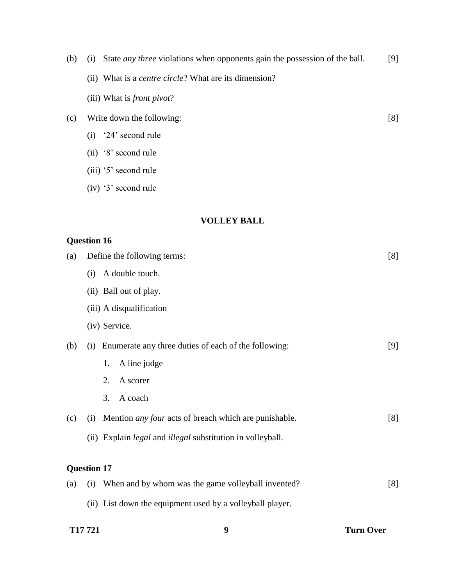| (b) | State <i>any three</i> violations when opponents gain the possession of the ball.<br>(i) | [9] |
|-----|------------------------------------------------------------------------------------------|-----|
|     | (ii) What is a <i>centre circle</i> ? What are its dimension?                            |     |
|     | (iii) What is <i>front pivot?</i>                                                        |     |
| (c) | Write down the following:                                                                | [8] |
|     | '24' second rule<br>(i)                                                                  |     |
|     | (ii) '8' second rule                                                                     |     |
|     | (iii) '5' second rule                                                                    |     |
|     | (iv) '3' second rule                                                                     |     |
|     |                                                                                          |     |
|     | <b>VOLLEY BALL</b>                                                                       |     |
|     | <b>Question 16</b>                                                                       |     |
| (a) | Define the following terms:                                                              | [8] |
|     | A double touch.<br>(i)                                                                   |     |
|     | (ii) Ball out of play.                                                                   |     |
|     | (iii) A disqualification                                                                 |     |
|     | (iv) Service.                                                                            |     |
| (b) | (i) Enumerate any three duties of each of the following:                                 | [9] |
|     | A line judge<br>1.                                                                       |     |
|     | A scorer<br>2.                                                                           |     |
|     | A coach<br>3.                                                                            |     |
| (c) | Mention <i>any four</i> acts of breach which are punishable.<br>(i)                      | [8] |
|     | (ii) Explain <i>legal</i> and <i>illegal</i> substitution in volleyball.                 |     |
|     |                                                                                          |     |
|     | <b>Question 17</b>                                                                       |     |
| (a) | When and by whom was the game volleyball invented?<br>(i)                                | [8] |
|     | (ii) List down the equipment used by a volleyball player.                                |     |
|     |                                                                                          |     |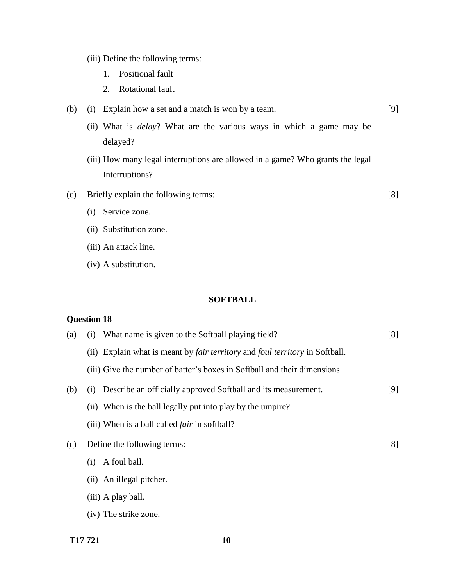- (iii) Define the following terms:
	- 1. Positional fault
	- 2. Rotational fault
- (b) (i) Explain how a set and a match is won by a team. [9]
	- (ii) What is *delay*? What are the various ways in which a game may be delayed?
	- (iii) How many legal interruptions are allowed in a game? Who grants the legal Interruptions?

[8]

- (c) Briefly explain the following terms:
	- (i) Service zone.
	- (ii) Substitution zone.
	- (iii) An attack line.
	- (iv) A substitution.

### **SOFTBALL**

| (a) | What name is given to the Softball playing field?<br>(1)                                   | [8] |
|-----|--------------------------------------------------------------------------------------------|-----|
|     | (ii) Explain what is meant by <i>fair territory</i> and <i>foul territory</i> in Softball. |     |
|     | (iii) Give the number of batter's boxes in Softball and their dimensions.                  |     |
| (b) | Describe an officially approved Softball and its measurement.<br>(1)                       | [9] |
|     | (ii) When is the ball legally put into play by the umpire?                                 |     |
|     | (iii) When is a ball called <i>fair</i> in softball?                                       |     |
| (c) | Define the following terms:                                                                | [8] |
|     | A foul ball.<br>(i)                                                                        |     |
|     | (ii) An illegal pitcher.                                                                   |     |
|     | (iii) A play ball.                                                                         |     |
|     | (iv) The strike zone.                                                                      |     |